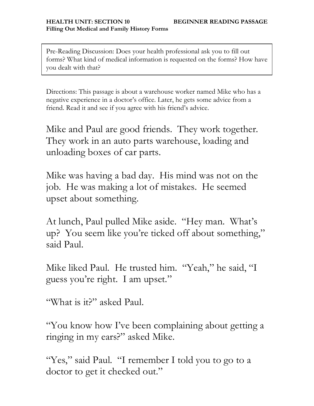Pre-Reading Discussion: Does your health professional ask you to fill out forms? What kind of medical information is requested on the forms? How have you dealt with that?

Directions: This passage is about a warehouse worker named Mike who has a negative experience in a doctor's office. Later, he gets some advice from a friend. Read it and see if you agree with his friend's advice.

Mike and Paul are good friends. They work together. They work in an auto parts warehouse, loading and unloading boxes of car parts.

Mike was having a bad day. His mind was not on the job. He was making a lot of mistakes. He seemed upset about something.

At lunch, Paul pulled Mike aside. "Hey man. What's up? You seem like you're ticked off about something," said Paul.

Mike liked Paul. He trusted him. "Yeah," he said, "I guess you're right. I am upset."

"What is it?" asked Paul.

"You know how I've been complaining about getting a ringing in my ears?" asked Mike.

"Yes," said Paul. "I remember I told you to go to a doctor to get it checked out."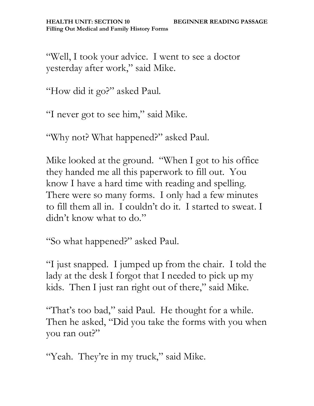"Well, I took your advice. I went to see a doctor yesterday after work," said Mike.

"How did it go?" asked Paul.

"I never got to see him," said Mike.

"Why not? What happened?" asked Paul.

Mike looked at the ground. "When I got to his office they handed me all this paperwork to fill out. You know I have a hard time with reading and spelling. There were so many forms. I only had a few minutes to fill them all in. I couldn't do it. I started to sweat. I didn't know what to do."

"So what happened?" asked Paul.

"I just snapped. I jumped up from the chair. I told the lady at the desk I forgot that I needed to pick up my kids. Then I just ran right out of there," said Mike.

"That's too bad," said Paul. He thought for a while. Then he asked, "Did you take the forms with you when you ran out?"

"Yeah. They're in my truck," said Mike.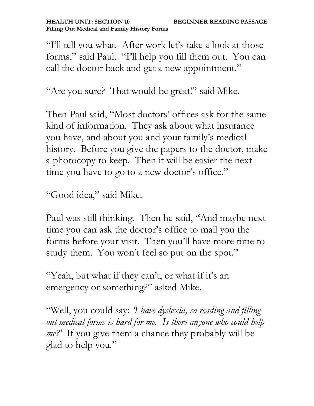"I'll tell you what. After work let's take a look at those forms," said Paul. "I'll help you fill them out. You can call the doctor back and get a new appointment."

"Are you sure? That would be great!" said Mike.

Then Paul said, "Most doctors' offices ask for the same kind of information. They ask about what insurance you have, and about you and your family's medical history. Before you give the papers to the doctor, make a photocopy to keep. Then it will be easier the next time you have to go to a new doctor's office."

"Good idea," said Mike.

Paul was still thinking. Then he said, "And maybe next time you can ask the doctor's office to mail you the forms before your visit. Then you'll have more time to study them. You won't feel so put on the spot."

"Yeah, but what if they can't, or what if it's an emergency or something?" asked Mike.

"Well, you could say: *'I have dyslexia, so reading and filling out medical forms is hard for me. Is there anyone who could help me?'* If you give them a chance they probably will be glad to help you."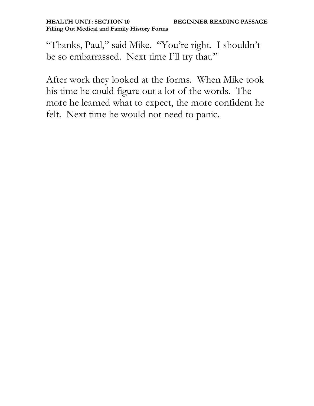"Thanks, Paul," said Mike. "You're right. I shouldn't be so embarrassed. Next time I'll try that."

After work they looked at the forms. When Mike took his time he could figure out a lot of the words. The more he learned what to expect, the more confident he felt. Next time he would not need to panic.